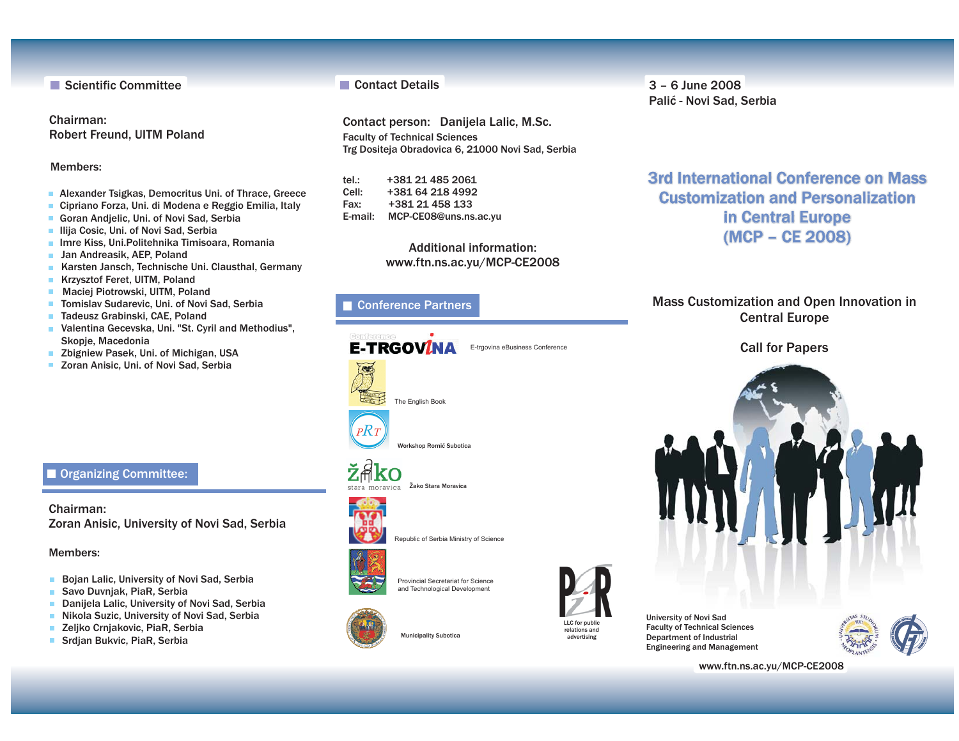Scientific Committee

Chairman:Robert Freund, UITM Poland

#### Members:

- · Alexander Tsigkas, Democritus Uni. of Thrace, Greece
- ·Cipriano Forza, Uni. di Modena <sup>e</sup> Reggio Emilia, Italy
- Goran Andjelic, Uni. of Novi Sad, Serbia
- · Ilija Cosic, Uni. of Novi Sad, Serbia
- · Imre Kiss, Uni.Politehnika Timisoara, Romania
- Jan Andreasik, AEP, Poland
- Karsten Jansch, Technische Uni. Clausthal, Germany
- Krzysztof Feret, UITM, Poland  $\mathbf{m}$
- · Maciej Piotrowski, UITM, Poland
- Tomislav Sudarevic, Uni. of Novi Sad, Serbia
- Tadeusz Grabinski, CAE, Poland
- Valentina Gecevska, Uni. "St. Cyril and Methodius", Skopje, Macedonia
- Zbigniew Pasek, Uni. of Michigan, USA
- Zoran Anisic, Uni. of Novi Sad, Serbia

### **Organizing Committee:**

Chairman:Zoran Anisic, University of Novi Sad, Serbia

#### Members:

- **Bojan Lalic, University of Novi Sad, Serbia**
- $\blacksquare$ Savo Duvnjak, PiaR, Serbia
- Danijela Lalic, University of Novi Sad, Serbia ٠
- Nikola Suzic, University of Novi Sad, Serbia m.
- $\blacksquare$ Zeljko Crnjakovic, PiaR, Serbia
- Srdjan Bukvic, PiaR, Serbia  $\mathbf{m}$

#### **Contact Details**

Contact person: Danijela Lalic, M.Sc. Faculty of Technical Sciences Trg Dositeja Obradovica 6, 21000 Novi Sad, Serbia

tel.: +381 21 485 Cell: +381 64 218 Fax: +381 21 458 E-mail: MCP-CE08@uns.ns.ac.yu

> Additional information:www.ftn.ns.ac.yu/MCP-CE2008

### Conference Partners



Republic of Serbia Ministry of Science



Provincial Secretariat for Scienceand Technological Development

**Municipality Subotica** 



LLC for public relations and

University of Novi Sad Faculty of Technical Sciences Department of Industrial Engineering and Management



www.ftn.ns.ac.yu/MCP-CE2008

3 – 6 June 2008Palić - Novi Sad, Serbia

3rd International Conference on Mass**Customization and Personalization<br>in Central Europe<br>(MCP – CE 2008)** in Central Europe (MCP – CE 2008)

Mass Customization and Open Innovation in Central Europe

## Call for Papers